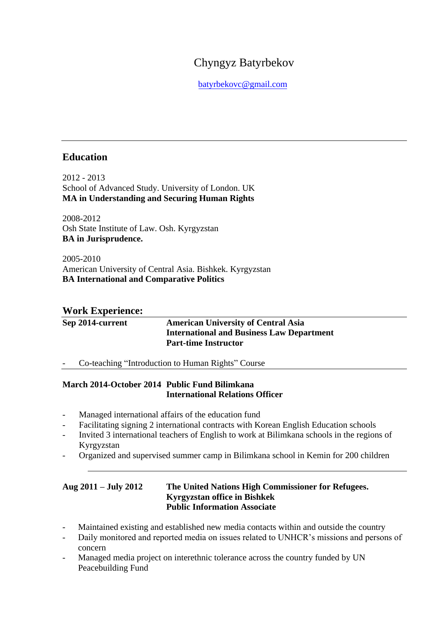# Chyngyz Batyrbekov

batyrbekovc@gmail.com

# **Education**

2012 - 2013 School of Advanced Study. University of London. UK **MA in Understanding and Securing Human Rights**

2008-2012 Osh State Institute of Law. Osh. Kyrgyzstan **BA in Jurisprudence.** 

2005-2010 American University of Central Asia. Bishkek. Kyrgyzstan **BA International and Comparative Politics**

# **Work Experience:**

# **Sep 2014-current American University of Central Asia International and Business Law Department Part-time Instructor**

- Co-teaching "Introduction to Human Rights" Course

# **March 2014-October 2014 Public Fund Bilimkana International Relations Officer**

- Managed international affairs of the education fund
- Facilitating signing 2 international contracts with Korean English Education schools
- Invited 3 international teachers of English to work at Bilimkana schools in the regions of Kyrgyzstan
- Organized and supervised summer camp in Bilimkana school in Kemin for 200 children

### **Aug 2011 – July 2012 The United Nations High Commissioner for Refugees. Kyrgyzstan office in Bishkek Public Information Associate**

- Maintained existing and established new media contacts within and outside the country
- Daily monitored and reported media on issues related to UNHCR's missions and persons of concern
- Managed media project on interethnic tolerance across the country funded by UN Peacebuilding Fund